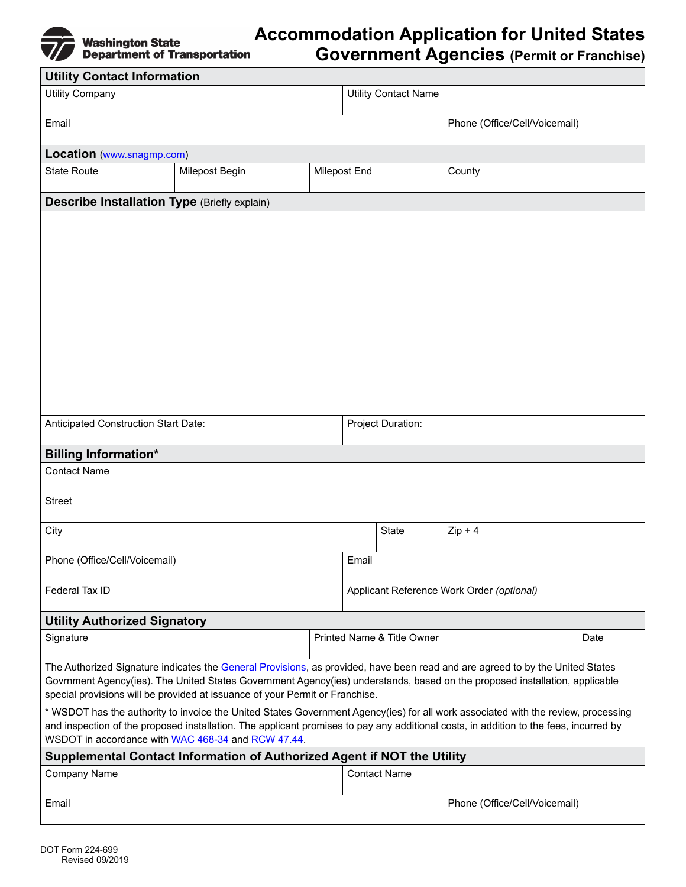

## **Accommodation Application for United States**

**Government Agencies (Permit or Franchise)**

| <b>Utility Contact Information</b>                                                                                                                                                                                                                                                                                                                                                                                                                                                                                                                                                                                                                                               |                |  |                                           |                                    |                               |  |
|----------------------------------------------------------------------------------------------------------------------------------------------------------------------------------------------------------------------------------------------------------------------------------------------------------------------------------------------------------------------------------------------------------------------------------------------------------------------------------------------------------------------------------------------------------------------------------------------------------------------------------------------------------------------------------|----------------|--|-------------------------------------------|------------------------------------|-------------------------------|--|
| <b>Utility Company</b>                                                                                                                                                                                                                                                                                                                                                                                                                                                                                                                                                                                                                                                           |                |  | <b>Utility Contact Name</b>               |                                    |                               |  |
| Email                                                                                                                                                                                                                                                                                                                                                                                                                                                                                                                                                                                                                                                                            |                |  |                                           |                                    | Phone (Office/Cell/Voicemail) |  |
| Location (www.snagmp.com)                                                                                                                                                                                                                                                                                                                                                                                                                                                                                                                                                                                                                                                        |                |  |                                           |                                    |                               |  |
| <b>State Route</b>                                                                                                                                                                                                                                                                                                                                                                                                                                                                                                                                                                                                                                                               | Milepost Begin |  | Milepost End                              |                                    | County                        |  |
| <b>Describe Installation Type (Briefly explain)</b>                                                                                                                                                                                                                                                                                                                                                                                                                                                                                                                                                                                                                              |                |  |                                           |                                    |                               |  |
|                                                                                                                                                                                                                                                                                                                                                                                                                                                                                                                                                                                                                                                                                  |                |  |                                           |                                    |                               |  |
| Anticipated Construction Start Date:                                                                                                                                                                                                                                                                                                                                                                                                                                                                                                                                                                                                                                             |                |  | Project Duration:                         |                                    |                               |  |
| <b>Billing Information*</b>                                                                                                                                                                                                                                                                                                                                                                                                                                                                                                                                                                                                                                                      |                |  |                                           |                                    |                               |  |
| <b>Contact Name</b>                                                                                                                                                                                                                                                                                                                                                                                                                                                                                                                                                                                                                                                              |                |  |                                           |                                    |                               |  |
| <b>Street</b>                                                                                                                                                                                                                                                                                                                                                                                                                                                                                                                                                                                                                                                                    |                |  |                                           |                                    |                               |  |
| City                                                                                                                                                                                                                                                                                                                                                                                                                                                                                                                                                                                                                                                                             |                |  |                                           | State                              | $Zip + 4$                     |  |
| Phone (Office/Cell/Voicemail)                                                                                                                                                                                                                                                                                                                                                                                                                                                                                                                                                                                                                                                    |                |  | Email                                     |                                    |                               |  |
| Federal Tax ID                                                                                                                                                                                                                                                                                                                                                                                                                                                                                                                                                                                                                                                                   |                |  | Applicant Reference Work Order (optional) |                                    |                               |  |
| <b>Utility Authorized Signatory</b>                                                                                                                                                                                                                                                                                                                                                                                                                                                                                                                                                                                                                                              |                |  |                                           |                                    |                               |  |
| Signature                                                                                                                                                                                                                                                                                                                                                                                                                                                                                                                                                                                                                                                                        |                |  |                                           | Printed Name & Title Owner<br>Date |                               |  |
| The Authorized Signature indicates the General Provisions, as provided, have been read and are agreed to by the United States<br>Govrnment Agency(ies). The United States Government Agency(ies) understands, based on the proposed installation, applicable<br>special provisions will be provided at issuance of your Permit or Franchise.<br>* WSDOT has the authority to invoice the United States Government Agency(ies) for all work associated with the review, processing<br>and inspection of the proposed installation. The applicant promises to pay any additional costs, in addition to the fees, incurred by<br>WSDOT in accordance with WAC 468-34 and RCW 47.44. |                |  |                                           |                                    |                               |  |
| Supplemental Contact Information of Authorized Agent if NOT the Utility                                                                                                                                                                                                                                                                                                                                                                                                                                                                                                                                                                                                          |                |  |                                           |                                    |                               |  |
| <b>Company Name</b>                                                                                                                                                                                                                                                                                                                                                                                                                                                                                                                                                                                                                                                              |                |  |                                           | <b>Contact Name</b>                |                               |  |
| Email                                                                                                                                                                                                                                                                                                                                                                                                                                                                                                                                                                                                                                                                            |                |  |                                           | Phone (Office/Cell/Voicemail)      |                               |  |